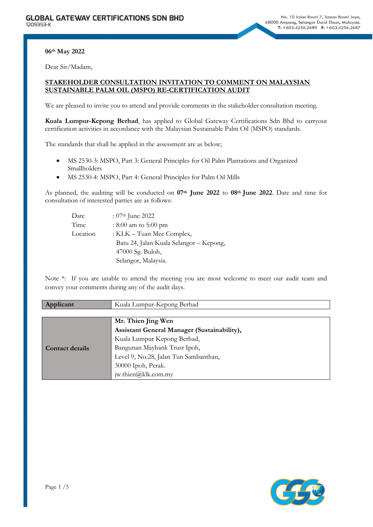**06th May 2022**

Dear Sir/Madam,

# **STAKEHOLDER CONSULTATION INVITATION TO COMMENT ON MALAYSIAN SUSTAINABLE PALM OIL (MSPO) RE-CERTIFICATION AUDIT**

We are pleased to invite you to attend and provide comments in the stakeholder consultation meeting.

**Kuala Lumpur-Kepong Berhad**, has applied to Global Gateway Certifications Sdn Bhd to carryout certification activities in accordance with the Malaysian Sustainable Palm Oil (MSPO) standards.

The standards that shall be applied in the assessment are as below;

- MS 2530-3: MSPO, Part 3: General Principles for Oil Palm Plantations and Organized Smallholders
- MS 2530-4: MSPO, Part 4: General Principles for Palm Oil Mills

As planned, the auditing will be conducted on **07th June 2022** to **08th June 2022**. Date and time for consultation of interested parties are as follows:

| Date     | : $07th$ June 2022                      |
|----------|-----------------------------------------|
| Time     | $: 8:00$ am to 5:00 pm                  |
| Location | : KLK - Tuan Mee Complex,               |
|          | Batu 24, Jalan Kuala Selangor – Kepong, |
|          | 47000 Sg. Buloh,                        |
|          | Selangor, Malaysia.                     |

Note \*: If you are unable to attend the meeting you are most welcome to meet our audit team and convey your comments during any of the audit days.

| Applicant              | Kuala Lumpur-Kepong Berhad                  |
|------------------------|---------------------------------------------|
|                        |                                             |
|                        | Mr. Thien Jing Wen                          |
|                        | Assistant General Manager (Sustainability), |
|                        | Kuala Lumpur Kepong Berhad,                 |
| <b>Contact details</b> | Bangunan Maybank Trust Ipoh,                |
|                        | Level 9, No.28, Jalan Tun Sambanthan,       |
|                        | 30000 Ipoh, Perak.                          |
|                        | jw.thien@klk.com.my                         |

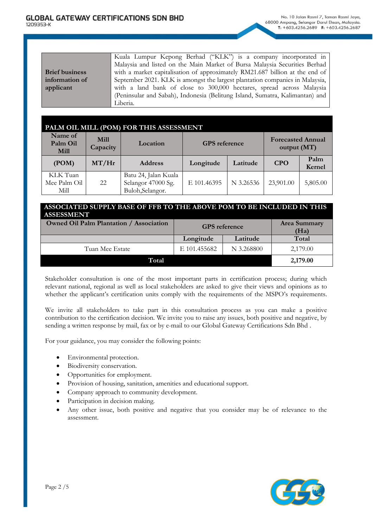|                       | Kuala Lumpur Kepong Berhad ("KLK") is a company incorporated in              |
|-----------------------|------------------------------------------------------------------------------|
|                       | Malaysia and listed on the Main Market of Bursa Malaysia Securities Berhad   |
| <b>Brief business</b> | with a market capitalisation of approximately RM21.687 billion at the end of |
| information of        | September 2021. KLK is amongst the largest plantation companies in Malaysia, |
| applicant             | with a land bank of close to 300,000 hectares, spread across Malaysia        |
|                       | (Peninsular and Sabah), Indonesia (Belitung Island, Sumatra, Kalimantan) and |
|                       | Liberia.                                                                     |

|                                  |                         | PALM OIL MILL (POM) FOR THIS ASSESSMENT                        |                      |           |                                         |                |
|----------------------------------|-------------------------|----------------------------------------------------------------|----------------------|-----------|-----------------------------------------|----------------|
| Name of<br>Palm Oil<br>Mill      | <b>Mill</b><br>Capacity | Location                                                       | <b>GPS</b> reference |           | <b>Forecasted Annual</b><br>output (MT) |                |
| (POM)                            | MT/Hr                   | <b>Address</b>                                                 | Longitude            | Latitude  | <b>CPO</b>                              | Palm<br>Kernel |
| KLK Tuan<br>Mee Palm Oil<br>Mill | 22                      | Batu 24, Jalan Kuala<br>Selangor 47000 Sg.<br>Buloh, Selangor. | E 101.46395          | N 3.26536 | 23,901.00                               | 5,805.00       |

# **ASSOCIATED SUPPLY BASE OF FFB TO THE ABOVE POM TO BE INCLUDED IN THIS ASSESSMENT**

| <b>Owned Oil Palm Plantation / Association</b> | <b>GPS</b> reference | Area Summary<br>(Ha) |          |
|------------------------------------------------|----------------------|----------------------|----------|
|                                                | Longitude            | Latitude             | Total    |
| Tuan Mee Estate                                | E 101.455682         | N 3.268800           | 2,179.00 |
| Total                                          |                      |                      | 2,179.00 |

Stakeholder consultation is one of the most important parts in certification process; during which relevant national, regional as well as local stakeholders are asked to give their views and opinions as to whether the applicant's certification units comply with the requirements of the MSPO's requirements.

We invite all stakeholders to take part in this consultation process as you can make a positive contribution to the certification decision. We invite you to raise any issues, both positive and negative, by sending a written response by mail, fax or by e-mail to our Global Gateway Certifications Sdn Bhd .

For your guidance, you may consider the following points:

- Environmental protection.
- Biodiversity conservation.
- Opportunities for employment.
- Provision of housing, sanitation, amenities and educational support.
- Company approach to community development.
- Participation in decision making.
- Any other issue, both positive and negative that you consider may be of relevance to the assessment.

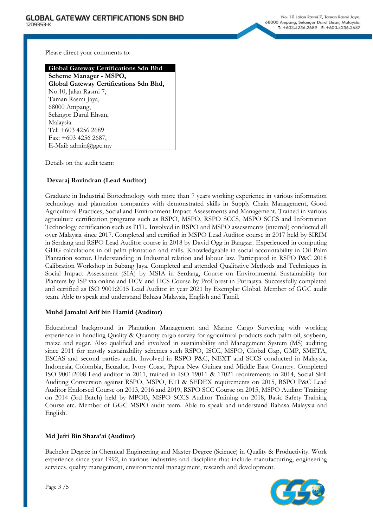Please direct your comments to:

#### **Global Gateway Certifications Sdn Bhd**

**Scheme Manager - MSPO, Global Gateway Certifications Sdn Bhd,** No.10, Jalan Rasmi 7, Taman Rasmi Jaya, 68000 Ampang, Selangor Darul Ehsan, Malaysia. Tel: +603 4256 2689 Fax: +603 4256 2687, E-Mail: admin@ggc.my

Details on the audit team:

# **Devaraj Ravindran (Lead Auditor)**

Graduate in Industrial Biotechnology with more than 7 years working experience in various information technology and plantation companies with demonstrated skills in Supply Chain Management, Good Agricultural Practices, Social and Environment Impact Assessments and Management. Trained in various agriculture certification programs such as RSPO, MSPO, RSPO SCCS, MSPO SCCS and Information Technology certification such as ITIL. Involved in RSPO and MSPO assessments (internal) conducted all over Malaysia since 2017. Completed and certified in MSPO Lead Auditor course in 2017 held by SIRIM in Serdang and RSPO Lead Auditor course in 2018 by David Ogg in Bangsar. Experienced in computing GHG calculations in oil palm plantation and mills. Knowledgeable in social accountability in Oil Palm Plantation sector. Understanding in Industrial relation and labour law. Participated in RSPO P&C 2018 Calibration Workshop in Subang Jaya. Completed and attended Qualitative Methods and Techniques in Social Impact Assessment (SIA) by MSIA in Serdang, Course on Environmental Sustainability for Planters by ISP via online and HCV and HCS Course by ProForest in Putrajaya. Successfully completed and certified as ISO 9001:2015 Lead Auditor in year 2021 by Exemplar Global. Member of GGC audit team. Able to speak and understand Bahasa Malaysia, English and Tamil.

### **Muhd Jamalul Arif bin Hamid (Auditor)**

Educational background in Plantation Management and Marine Cargo Surveying with working experience in handling Quality & Quantity cargo survey for agricultural products such palm oil, soybean, maize and sugar. Also qualified and involved in sustainability and Management System (MS) auditing since 2011 for mostly sustainability schemes such RSPO, ISCC, MSPO, Global Gap, GMP, SMETA, ESCAS and second parties audit. Involved in RSPO P&C, NEXT and SCCS conducted in Malaysia, Indonesia, Colombia, Ecuador, Ivory Coast, Papua New Guinea and Middle East Country. Completed ISO 9001:2008 Lead auditor in 2011, trained in ISO 19011 & 17021 requirements in 2014, Social Skill Auditing Conversion against RSPO, MSPO, ETI & SEDEX requirements on 2015, RSPO P&C Lead Auditor Endorsed Course on 2013, 2016 and 2019, RSPO SCC Course on 2015, MSPO Auditor Training on 2014 (3rd Batch) held by MPOB, MSPO SCCS Auditor Training on 2018, Basic Safety Training Course etc. Member of GGC MSPO audit team. Able to speak and understand Bahasa Malaysia and English.

### **Md Jefri Bin Shara'ai (Auditor)**

Bachelor Degree in Chemical Engineering and Master Degree (Science) in Quality & Productivity. Work experience since year 1992, in various industries and discipline that include manufacturing, engineering services, quality management, environmental management, research and development.

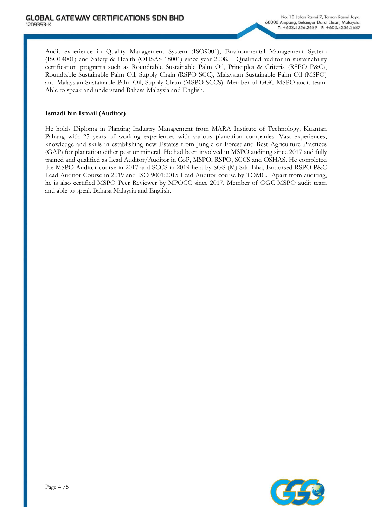Audit experience in Quality Management System (ISO9001), Environmental Management System (ISO14001) and Safety & Health (OHSAS 18001) since year 2008. Qualified auditor in sustainability certification programs such as Roundtable Sustainable Palm Oil, Principles & Criteria (RSPO P&C), Roundtable Sustainable Palm Oil, Supply Chain (RSPO SCC), Malaysian Sustainable Palm Oil (MSPO) and Malaysian Sustainable Palm Oil, Supply Chain (MSPO SCCS). Member of GGC MSPO audit team. Able to speak and understand Bahasa Malaysia and English.

## **Ismadi bin Ismail (Auditor)**

He holds Diploma in Planting Industry Management from MARA Institute of Technology, Kuantan Pahang with 25 years of working experiences with various plantation companies. Vast experiences, knowledge and skills in establishing new Estates from Jungle or Forest and Best Agriculture Practices (GAP) for plantation either peat or mineral. He had been involved in MSPO auditing since 2017 and fully trained and qualified as Lead Auditor/Auditor in CoP, MSPO, RSPO, SCCS and OSHAS. He completed the MSPO Auditor course in 2017 and SCCS in 2019 held by SGS (M) Sdn Bhd, Endorsed RSPO P&C Lead Auditor Course in 2019 and ISO 9001:2015 Lead Auditor course by TOMC. Apart from auditing, he is also certified MSPO Peer Reviewer by MPOCC since 2017. Member of GGC MSPO audit team and able to speak Bahasa Malaysia and English.

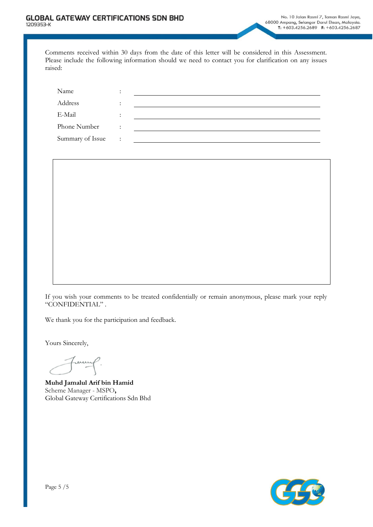Comments received within 30 days from the date of this letter will be considered in this Assessment. Please include the following information should we need to contact you for clarification on any issues raised:

| Name             | $\bullet$              |  |
|------------------|------------------------|--|
| Address          |                        |  |
| E-Mail           | $\bullet$<br>$\bullet$ |  |
| Phone Number     | $\bullet$              |  |
| Summary of Issue | $\ddot{\phantom{a}}$   |  |



If you wish your comments to be treated confidentially or remain anonymous, please mark your reply "CONFIDENTIAL" .

We thank you for the participation and feedback.

Yours Sincerely,

ρ. Finan

**Muhd Jamalul Arif bin Hamid** Scheme Manager - MSPO**,** Global Gateway Certifications Sdn Bhd

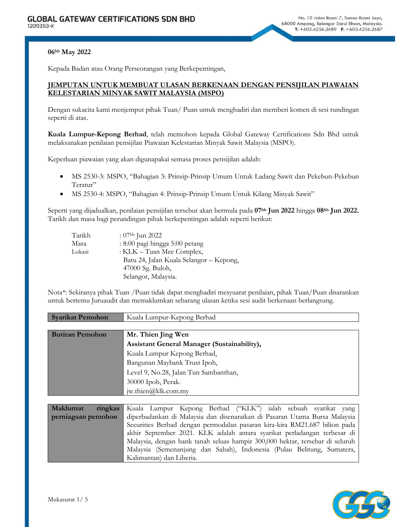#### **06hb May 2022**

Kepada Badan atau Orang Perseorangan yang Berkepentingan,

## **JEMPUTAN UNTUK MEMBUAT ULASAN BERKENAAN DENGAN PENSIJILAN PIAWAIAN KELESTARIAN MINYAK SAWIT MALAYSIA (MSPO)**

Dengan sukacita kami menjemput pihak Tuan/ Puan untuk menghadiri dan memberi komen di sesi rundingan seperti di atas.

**Kuala Lumpur-Kepong Berhad**, telah memohon kepada Global Gateway Certifications Sdn Bhd untuk melaksanakan penilaian pensijilan Piawaian Kelestarian Minyak Sawit Malaysia (MSPO).

Keperluan piawaian yang akan digunapakai semasa proses pensijilan adalah:

- MS 2530-3: MSPO, "Bahagian 3: Prinsip-Prinsip Umum Untuk Ladang Sawit dan Pekebun-Pekebun Teratur"
- MS 2530-4: MSPO, "Bahagian 4: Prinsip-Prinsip Umum Untuk Kilang Minyak Sawit"

Seperti yang dijadualkan, penilaian pensijilan tersebut akan bermula pada **07hb Jun 2022** hingga **08hb Jun 2022.** Tarikh dan masa bagi perundingan pihak berkepentingan adalah seperti berikut:

| Tarikh | : $07hb$ Jun 2022                       |
|--------|-----------------------------------------|
| Masa   | : 8:00 pagi hingga 5:00 petang          |
| Lokasi | : KLK - Tuan Mee Complex,               |
|        | Batu 24, Jalan Kuala Selangor - Kepong, |
|        | 47000 Sg. Buloh,                        |
|        | Selangor, Malaysia.                     |

Nota\*: Sekiranya pihak Tuan /Puan tidak dapat menghadiri mesyuarat penilaian, pihak Tuan/Puan disarankan untuk bertemu Juruaudit dan memaklumkan sebarang ulasan ketika sesi audit berkenaan berlangsung.

| <b>Syarikat Pemohon</b> | Kuala Lumpur-Kepong Berhad                  |
|-------------------------|---------------------------------------------|
|                         |                                             |
| <b>Butiran Pemohon</b>  | Mr. Thien Jing Wen                          |
|                         | Assistant General Manager (Sustainability), |
|                         | Kuala Lumpur Kepong Berhad,                 |
|                         | Bangunan Maybank Trust Ipoh,                |
|                         | Level 9, No.28, Jalan Tun Sambanthan,       |
|                         | 30000 Ipoh, Perak.                          |
|                         | jw.thien $@$ klk.com.my                     |

| <b>Maklumat</b>    |  |                          |  | ringkas Kuala Lumpur Kepong Berhad ("KLK") ialah sebuah syarikat yang         |  |  |
|--------------------|--|--------------------------|--|-------------------------------------------------------------------------------|--|--|
| perniagaan pemohon |  |                          |  | diperbadankan di Malaysia dan disenaraikan di Pasaran Utama Bursa Malaysia    |  |  |
|                    |  |                          |  | Securities Berhad dengan permodalan pasaran kira-kira RM21.687 bilion pada    |  |  |
|                    |  |                          |  | akhir September 2021. KLK adalah antara syarikat perladangan terbesar di      |  |  |
|                    |  |                          |  | Malaysia, dengan bank tanah seluas hampir 300,000 hektar, tersebar di seluruh |  |  |
|                    |  |                          |  | Malaysia (Semenanjung dan Sabah), Indonesia (Pulau Belitung, Sumatera,        |  |  |
|                    |  | Kalimantan) dan Liberia. |  |                                                                               |  |  |

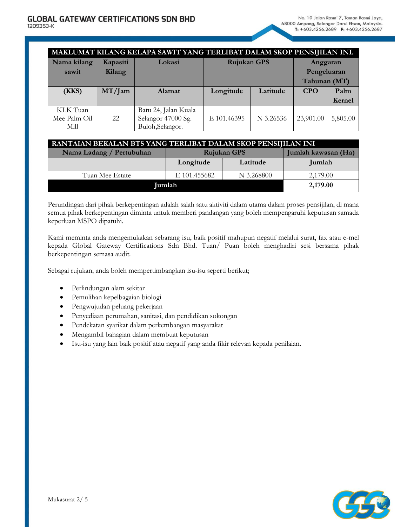|              |           | MAKLUMAT KILANG KELAPA SAWIT YANG TERLIBAT DALAM SKOP PENSIJILAN INI. |                    |           |              |          |
|--------------|-----------|-----------------------------------------------------------------------|--------------------|-----------|--------------|----------|
| Nama kilang  | Kapasiti  | Lokasi                                                                | <b>Rujukan GPS</b> |           | Anggaran     |          |
| sawit        | Kilang    |                                                                       |                    |           | Pengeluaran  |          |
|              |           |                                                                       |                    |           | Tahunan (MT) |          |
| (KKS)        | $MT/$ Jam | <b>Alamat</b>                                                         | Longitude          | Latitude  | <b>CPO</b>   | Palm     |
|              |           |                                                                       |                    |           |              | Kernel   |
| KLK Tuan     |           | Batu 24, Jalan Kuala                                                  |                    |           |              |          |
| Mee Palm Oil | 22        | Selangor 47000 Sg.                                                    | E 101.46395        | N 3.26536 | 23,901.00    | 5,805.00 |
| Mill         |           | Buloh,Selangor.                                                       |                    |           |              |          |

| RANTAIAN BEKALAN BTS YANG TERLIBAT DALAM SKOP PENSIJILAN INI |              |                                           |          |  |  |
|--------------------------------------------------------------|--------------|-------------------------------------------|----------|--|--|
| Nama Ladang / Pertubuhan                                     |              | Jumlah kawasan (Ha)<br><b>Rujukan GPS</b> |          |  |  |
|                                                              | Longitude    | Latitude                                  | Jumlah   |  |  |
| Tuan Mee Estate                                              | E 101.455682 | N 3.268800                                | 2,179.00 |  |  |
| <b>Jumlah</b>                                                | 2,179.00     |                                           |          |  |  |

Perundingan dari pihak berkepentingan adalah salah satu aktiviti dalam utama dalam proses pensijilan, di mana semua pihak berkepentingan diminta untuk memberi pandangan yang boleh mempengaruhi keputusan samada keperluan MSPO dipatuhi.

Kami meminta anda mengemukakan sebarang isu, baik positif mahupun negatif melalui surat, fax atau e-mel kepada Global Gateway Certifications Sdn Bhd. Tuan/ Puan boleh menghadiri sesi bersama pihak berkepentingan semasa audit.

Sebagai rujukan, anda boleh mempertimbangkan isu-isu seperti berikut;

- Perlindungan alam sekitar
- Pemulihan kepelbagaian biologi
- Pengwujudan peluang pekerjaan
- Penyediaan perumahan, sanitasi, dan pendidikan sokongan
- Pendekatan syarikat dalam perkembangan masyarakat
- Mengambil bahagian dalam membuat keputusan
- Isu-isu yang lain baik positif atau negatif yang anda fikir relevan kepada penilaian.

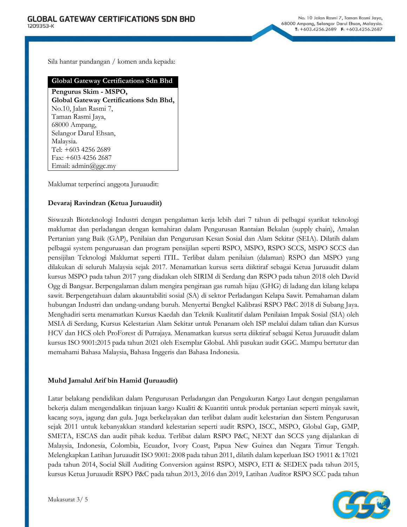Sila hantar pandangan / komen anda kepada:

## **Global Gateway Certifications Sdn Bhd**

**Pengurus Skim - MSPO, Global Gateway Certifications Sdn Bhd,** No.10, Jalan Rasmi 7, Taman Rasmi Jaya, 68000 Ampang, Selangor Darul Ehsan, Malaysia. Tel: +603 4256 2689 Fax: +603 4256 2687 Email: admin@ggc.my

Maklumat terperinci anggota Juruaudit:

# **Devaraj Ravindran (Ketua Juruaudit)**

Siswazah Bioteknologi Industri dengan pengalaman kerja lebih dari 7 tahun di pelbagai syarikat teknologi maklumat dan perladangan dengan kemahiran dalam Pengurusan Rantaian Bekalan (supply chain), Amalan Pertanian yang Baik (GAP), Penilaian dan Pengurusan Kesan Sosial dan Alam Sekitar (SEIA). Dilatih dalam pelbagai system penguruasan dan program pensijilan seperti RSPO, MSPO, RSPO SCCS, MSPO SCCS dan pensijilan Teknologi Maklumat seperti ITIL. Terlibat dalam penilaian (dalaman) RSPO dan MSPO yang dilakukan di seluruh Malaysia sejak 2017. Menamatkan kursus serta diiktiraf sebagai Ketua Juruaudit dalam kursus MSPO pada tahun 2017 yang diadakan oleh SIRIM di Serdang dan RSPO pada tahun 2018 oleh David Ogg di Bangsar. Berpengalaman dalam mengira pengiraan gas rumah hijau (GHG) di ladang dan kilang kelapa sawit. Berpengetahuan dalam akauntabiliti sosial (SA) di sektor Perladangan Kelapa Sawit. Pemahaman dalam hubungan Industri dan undang-undang buruh. Menyertai Bengkel Kalibrasi RSPO P&C 2018 di Subang Jaya. Menghadiri serta menamatkan Kursus Kaedah dan Teknik Kualitatif dalam Penilaian Impak Sosial (SIA) oleh MSIA di Serdang, Kursus Kelestarian Alam Sekitar untuk Penanam oleh ISP melalui dalam talian dan Kursus HCV dan HCS oleh ProForest di Putrajaya. Menamatkan kursus serta diiktiraf sebagai Ketua Juruaudit dalam kursus ISO 9001:2015 pada tahun 2021 oleh Exemplar Global. Ahli pasukan audit GGC. Mampu bertutur dan memahami Bahasa Malaysia, Bahasa Inggeris dan Bahasa Indonesia.

### **Muhd Jamalul Arif bin Hamid (Juruaudit)**

Latar belakang pendidikan dalam Pengurusan Perladangan dan Pengukuran Kargo Laut dengan pengalaman bekerja dalam mengendalikan tinjauan kargo Kualiti & Kuantiti untuk produk pertanian seperti minyak sawit, kacang soya, jagung dan gula. Juga berkelayakan dan terlibat dalam audit kelestarian dan Sistem Pengurusan sejak 2011 untuk kebanyakkan standard kelestarian seperti audit RSPO, ISCC, MSPO, Global Gap, GMP, SMETA, ESCAS dan audit pihak kedua. Terlibat dalam RSPO P&C, NEXT dan SCCS yang dijalankan di Malaysia, Indonesia, Colombia, Ecuador, Ivory Coast, Papua New Guinea dan Negara Timur Tengah. Melengkapkan Latihan Juruaudit ISO 9001: 2008 pada tahun 2011, dilatih dalam keperluan ISO 19011 & 17021 pada tahun 2014, Social Skill Auditing Conversion against RSPO, MSPO, ETI & SEDEX pada tahun 2015, kursus Ketua Juruaudit RSPO P&C pada tahun 2013, 2016 dan 2019, Latihan Auditor RSPO SCC pada tahun

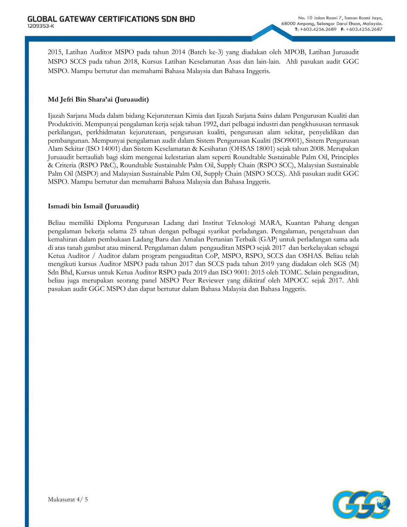2015, Latihan Auditor MSPO pada tahun 2014 (Batch ke-3) yang diadakan oleh MPOB, Latihan Juruaudit MSPO SCCS pada tahun 2018, Kursus Latihan Keselamatan Asas dan lain-lain. Ahli pasukan audit GGC MSPO. Mampu bertutur dan memahami Bahasa Malaysia dan Bahasa Inggeris.

# **Md Jefri Bin Shara'ai (Juruaudit)**

Ijazah Sarjana Muda dalam bidang Kejuruteraan Kimia dan Ijazah Sarjana Sains dalam Pengurusan Kualiti dan Produktiviti. Mempunyai pengalaman kerja sejak tahun 1992, dari pelbagai industri dan pengkhususan termasuk perkilangan, perkhidmatan kejuruteraan, pengurusan kualiti, pengurusan alam sekitar, penyelidikan dan pembangunan. Mempunyai pengalaman audit dalam Sistem Pengurusan Kualiti (ISO9001), Sistem Pengurusan Alam Sekitar (ISO 14001) dan Sistem Keselamatan & Kesihatan (OHSAS 18001) sejak tahun 2008. Merupakan Juruaudit bertauliah bagi skim mengenai kelestarian alam seperti Roundtable Sustainable Palm Oil, Principles & Criteria (RSPO P&C), Roundtable Sustainable Palm Oil, Supply Chain (RSPO SCC), Malaysian Sustainable Palm Oil (MSPO) and Malaysian Sustainable Palm Oil, Supply Chain (MSPO SCCS). Ahli pasukan audit GGC MSPO. Mampu bertutur dan memahami Bahasa Malaysia dan Bahasa Inggeris.

### **Ismadi bin Ismail (Juruaudit)**

Beliau memiliki Diploma Pengurusan Ladang dari Institut Teknologi MARA, Kuantan Pahang dengan pengalaman bekerja selama 25 tahun dengan pelbagai syarikat perladangan. Pengalaman, pengetahuan dan kemahiran dalam pembukaan Ladang Baru dan Amalan Pertanian Terbaik (GAP) untuk perladangan sama ada di atas tanah gambut atau mineral. Pengalaman dalam pengauditan MSPO sejak 2017 dan berkelayakan sebagai Ketua Auditor / Auditor dalam program pengauditan CoP, MSPO, RSPO, SCCS dan OSHAS. Beliau telah mengikuti kursus Auditor MSPO pada tahun 2017 dan SCCS pada tahun 2019 yang diadakan oleh SGS (M) Sdn Bhd, Kursus untuk Ketua Auditor RSPO pada 2019 dan ISO 9001: 2015 oleh TOMC. Selain pengauditan, beliau juga merupakan seorang panel MSPO Peer Reviewer yang diiktiraf oleh MPOCC sejak 2017. Ahli pasukan audit GGC MSPO dan dapat bertutur dalam Bahasa Malaysia dan Bahasa Inggeris.